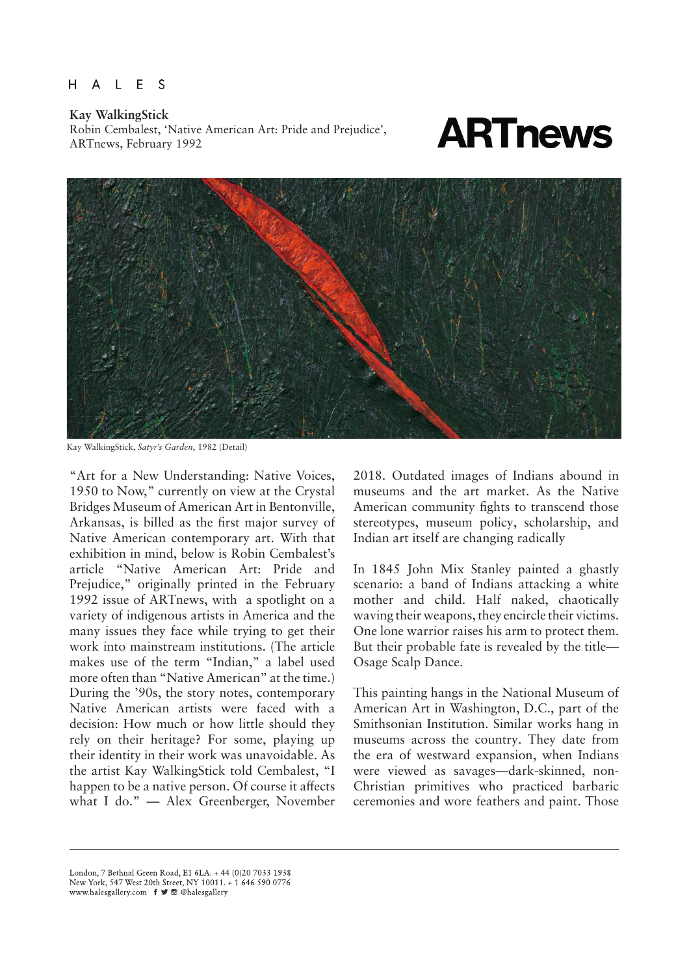### A L E S H

Kay WalkingStick<br>
Robin Cembalest, 'Native American Art: Pride and Prejudice',<br>
ARTnews, February 1992 Robin Cembalest, 'Native American Art: Pride and Prejudice', ARTnews, February 1992



Kay WalkingStick, *Satyr's Garden*, 1982 (Detail)

"Art for a New Understanding: Native Voices, 1950 to Now," currently on view at the Crystal Bridges Museum of American Art in Bentonville, Arkansas, is billed as the first major survey of Native American contemporary art. With that exhibition in mind, below is Robin Cembalest's article "Native American Art: Pride and Prejudice," originally printed in the February 1992 issue of ARTnews, with a spotlight on a variety of indigenous artists in America and the many issues they face while trying to get their work into mainstream institutions. (The article makes use of the term "Indian," a label used more often than "Native American" at the time.) During the '90s, the story notes, contemporary Native American artists were faced with a decision: How much or how little should they rely on their heritage? For some, playing up their identity in their work was unavoidable. As the artist Kay WalkingStick told Cembalest, "I happen to be a native person. Of course it affects what I do." — Alex Greenberger, November 2018. Outdated images of Indians abound in museums and the art market. As the Native American community fights to transcend those stereotypes, museum policy, scholarship, and Indian art itself are changing radically

In 1845 John Mix Stanley painted a ghastly scenario: a band of Indians attacking a white mother and child. Half naked, chaotically waving their weapons, they encircle their victims. One lone warrior raises his arm to protect them. But their probable fate is revealed by the title— Osage Scalp Dance.

This painting hangs in the National Museum of American Art in Washington, D.C., part of the Smithsonian Institution. Similar works hang in museums across the country. They date from the era of westward expansion, when Indians were viewed as savages—dark-skinned, non-Christian primitives who practiced barbaric ceremonies and wore feathers and paint. Those

London, 7 Bethnal Green Road, E1 6LA, + 44 (0)20 7033 1938 New York, 547 West 20th Street, NY 10011. + 1 646 590 0776 www.halesgallery.com f J @ @halesgallery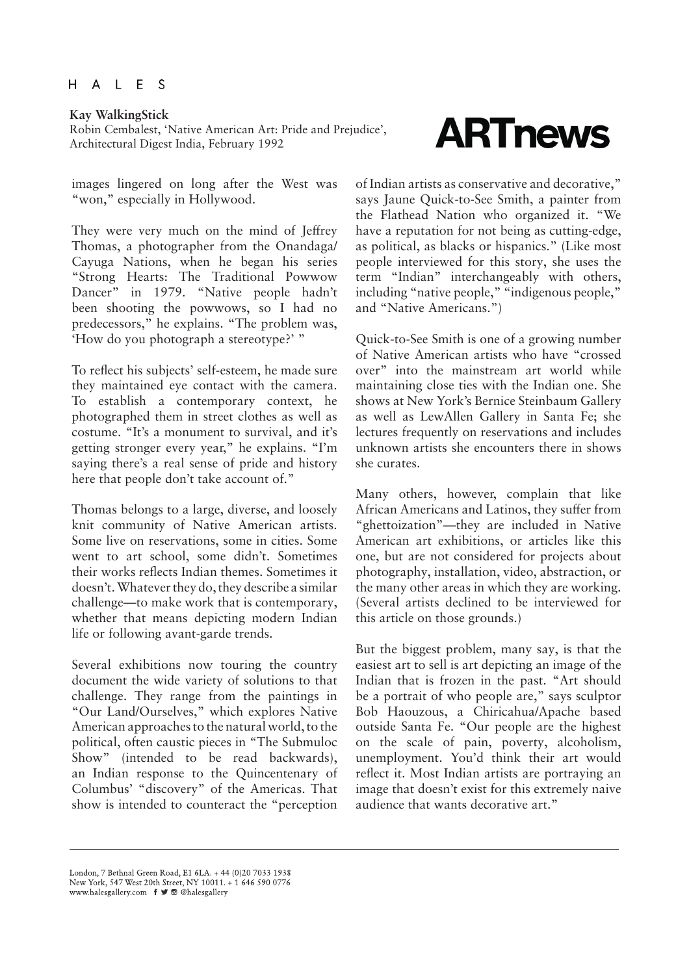Kay WalkingStick<br>Robin Cembalest, 'Native American Art: Pride and Prejudice',<br>Analization Landscape India, Eshmany 1992 Robin Cembalest, 'Native American Art: Pride and Prejudice', Architectural Digest India, February 1992

images lingered on long after the West was "won," especially in Hollywood.

They were very much on the mind of Jeffrey Thomas, a photographer from the Onandaga/ Cayuga Nations, when he began his series "Strong Hearts: The Traditional Powwow Dancer" in 1979. "Native people hadn't been shooting the powwows, so I had no predecessors," he explains. "The problem was, 'How do you photograph a stereotype?' "

To reflect his subjects' self-esteem, he made sure they maintained eye contact with the camera. To establish a contemporary context, he photographed them in street clothes as well as costume. "It's a monument to survival, and it's getting stronger every year," he explains. "I'm saying there's a real sense of pride and history here that people don't take account of."

Thomas belongs to a large, diverse, and loosely knit community of Native American artists. Some live on reservations, some in cities. Some went to art school, some didn't. Sometimes their works reflects Indian themes. Sometimes it doesn't. Whatever they do, they describe a similar challenge—to make work that is contemporary, whether that means depicting modern Indian life or following avant-garde trends.

Several exhibitions now touring the country document the wide variety of solutions to that challenge. They range from the paintings in "Our Land/Ourselves," which explores Native American approaches to the natural world, to the political, often caustic pieces in "The Submuloc Show" (intended to be read backwards), an Indian response to the Quincentenary of Columbus' "discovery" of the Americas. That show is intended to counteract the "perception

of Indian artists as conservative and decorative," says Jaune Quick-to-See Smith, a painter from the Flathead Nation who organized it. "We have a reputation for not being as cutting-edge, as political, as blacks or hispanics." (Like most people interviewed for this story, she uses the term "Indian" interchangeably with others, including "native people," "indigenous people," and "Native Americans.")

Quick-to-See Smith is one of a growing number of Native American artists who have "crossed over" into the mainstream art world while maintaining close ties with the Indian one. She shows at New York's Bernice Steinbaum Gallery as well as LewAllen Gallery in Santa Fe; she lectures frequently on reservations and includes unknown artists she encounters there in shows she curates.

Many others, however, complain that like African Americans and Latinos, they suffer from "ghettoization"—they are included in Native American art exhibitions, or articles like this one, but are not considered for projects about photography, installation, video, abstraction, or the many other areas in which they are working. (Several artists declined to be interviewed for this article on those grounds.)

But the biggest problem, many say, is that the easiest art to sell is art depicting an image of the Indian that is frozen in the past. "Art should be a portrait of who people are," says sculptor Bob Haouzous, a Chiricahua/Apache based outside Santa Fe. "Our people are the highest on the scale of pain, poverty, alcoholism, unemployment. You'd think their art would reflect it. Most Indian artists are portraying an image that doesn't exist for this extremely naive audience that wants decorative art."

London, 7 Bethnal Green Road, E1 6LA, + 44 (0)20 7033 1938 New York, 547 West 20th Street, NY 10011. + 1 646 590 0776<br>www.halesgallery.com  $f \times \mathbb{C}$  @ @halesgallery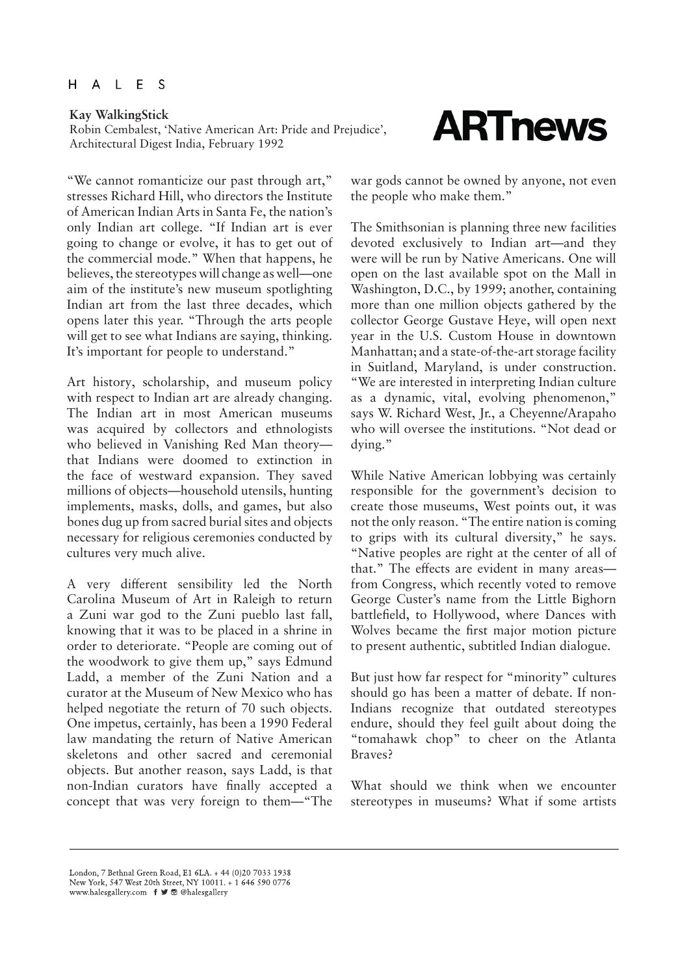Robin Cembalest, 'Native American Art: Pride and Prejudice', Architectural Digest India, February 1992

"We cannot romanticize our past through art," stresses Richard Hill, who directors the Institute of American Indian Arts in Santa Fe, the nation's only Indian art college. "If Indian art is ever going to change or evolve, it has to get out of the commercial mode." When that happens, he believes, the stereotypes will change as well—one aim of the institute's new museum spotlighting Indian art from the last three decades, which opens later this year. "Through the arts people will get to see what Indians are saying, thinking. It's important for people to understand."

Art history, scholarship, and museum policy with respect to Indian art are already changing. The Indian art in most American museums was acquired by collectors and ethnologists who believed in Vanishing Red Man theory that Indians were doomed to extinction in the face of westward expansion. They saved millions of objects—household utensils, hunting implements, masks, dolls, and games, but also bones dug up from sacred burial sites and objects necessary for religious ceremonies conducted by cultures very much alive.

A very different sensibility led the North Carolina Museum of Art in Raleigh to return a Zuni war god to the Zuni pueblo last fall, knowing that it was to be placed in a shrine in order to deteriorate. "People are coming out of the woodwork to give them up," says Edmund Ladd, a member of the Zuni Nation and a curator at the Museum of New Mexico who has helped negotiate the return of 70 such objects. One impetus, certainly, has been a 1990 Federal law mandating the return of Native American skeletons and other sacred and ceremonial objects. But another reason, says Ladd, is that non-Indian curators have finally accepted a concept that was very foreign to them—"The

war gods cannot be owned by anyone, not even the people who make them."

The Smithsonian is planning three new facilities devoted exclusively to Indian art—and they were will be run by Native Americans. One will open on the last available spot on the Mall in Washington, D.C., by 1999; another, containing more than one million objects gathered by the collector George Gustave Heye, will open next year in the U.S. Custom House in downtown Manhattan; and a state-of-the-art storage facility in Suitland, Maryland, is under construction. "We are interested in interpreting Indian culture as a dynamic, vital, evolving phenomenon," says W. Richard West, Jr., a Cheyenne/Arapaho who will oversee the institutions. "Not dead or dying."

While Native American lobbying was certainly responsible for the government's decision to create those museums, West points out, it was not the only reason. "The entire nation is coming to grips with its cultural diversity," he says. "Native peoples are right at the center of all of that." The effects are evident in many areas from Congress, which recently voted to remove George Custer's name from the Little Bighorn battlefield, to Hollywood, where Dances with Wolves became the first major motion picture to present authentic, subtitled Indian dialogue.

But just how far respect for "minority" cultures should go has been a matter of debate. If non-Indians recognize that outdated stereotypes endure, should they feel guilt about doing the "tomahawk chop" to cheer on the Atlanta Braves?

What should we think when we encounter stereotypes in museums? What if some artists

London, 7 Bethnal Green Road, E1 6LA. + 44 (0)20 7033 1938 London, 7 bettinar Green Koad, £1 b.EA. + 44 (0/20 7033 1238)<br>New York, 547 West 20th Street, NY 10011. + 1 646 590 0776<br>www.halesgallery.com **f ■** ■ @halesgallery

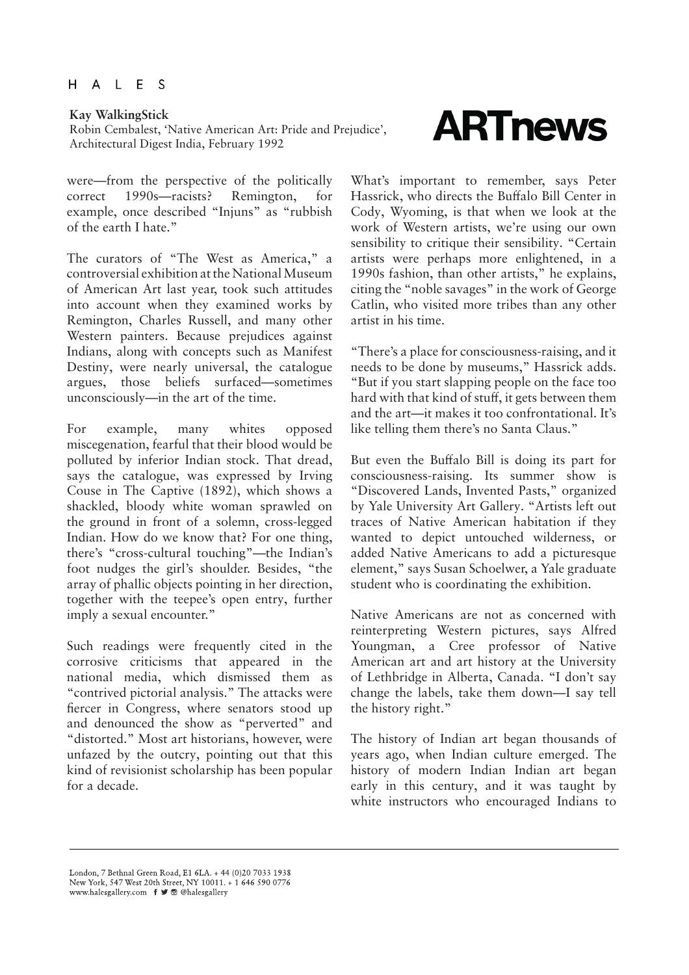Robin Cembalest, 'Native American Art: Pride and Prejudice', Architectural Digest India, February 1992

were—from the perspective of the politically correct 1990s—racists? Remington, for example, once described "Injuns" as "rubbish of the earth I hate."

The curators of "The West as America," a controversial exhibition at the National Museum of American Art last year, took such attitudes into account when they examined works by Remington, Charles Russell, and many other Western painters. Because prejudices against Indians, along with concepts such as Manifest Destiny, were nearly universal, the catalogue argues, those beliefs surfaced—sometimes unconsciously—in the art of the time.

For example, many whites opposed miscegenation, fearful that their blood would be polluted by inferior Indian stock. That dread, says the catalogue, was expressed by Irving Couse in The Captive (1892), which shows a shackled, bloody white woman sprawled on the ground in front of a solemn, cross-legged Indian. How do we know that? For one thing, there's "cross-cultural touching"—the Indian's foot nudges the girl's shoulder. Besides, "the array of phallic objects pointing in her direction, together with the teepee's open entry, further imply a sexual encounter."

Such readings were frequently cited in the corrosive criticisms that appeared in the national media, which dismissed them as "contrived pictorial analysis." The attacks were fiercer in Congress, where senators stood up and denounced the show as "perverted" and "distorted." Most art historians, however, were unfazed by the outcry, pointing out that this kind of revisionist scholarship has been popular for a decade.

# Kay WalkingStick<br>Robin Cembalest, 'Native American Art: Pride and Prejudice', **ARTINEWS**

What's important to remember, says Peter Hassrick, who directs the Buffalo Bill Center in Cody, Wyoming, is that when we look at the work of Western artists, we're using our own sensibility to critique their sensibility. "Certain artists were perhaps more enlightened, in a 1990s fashion, than other artists," he explains, citing the "noble savages" in the work of George Catlin, who visited more tribes than any other artist in his time.

"There's a place for consciousness-raising, and it needs to be done by museums," Hassrick adds. "But if you start slapping people on the face too hard with that kind of stuff, it gets between them and the art—it makes it too confrontational. It's like telling them there's no Santa Claus."

But even the Buffalo Bill is doing its part for consciousness-raising. Its summer show is "Discovered Lands, Invented Pasts," organized by Yale University Art Gallery. "Artists left out traces of Native American habitation if they wanted to depict untouched wilderness, or added Native Americans to add a picturesque element," says Susan Schoelwer, a Yale graduate student who is coordinating the exhibition.

Native Americans are not as concerned with reinterpreting Western pictures, says Alfred Youngman, a Cree professor of Native American art and art history at the University of Lethbridge in Alberta, Canada. "I don't say change the labels, take them down—I say tell the history right."

The history of Indian art began thousands of years ago, when Indian culture emerged. The history of modern Indian Indian art began early in this century, and it was taught by white instructors who encouraged Indians to

London, 7 Bethnal Green Road, E1 6LA. + 44 (0)20 7033 1938 London, 7 bettinar Green Koad, £1 b.EA. + 44 (0/20 7033 1238)<br>New York, 547 West 20th Street, NY 10011. + 1 646 590 0776<br>www.halesgallery.com **f ■** ■ @halesgallery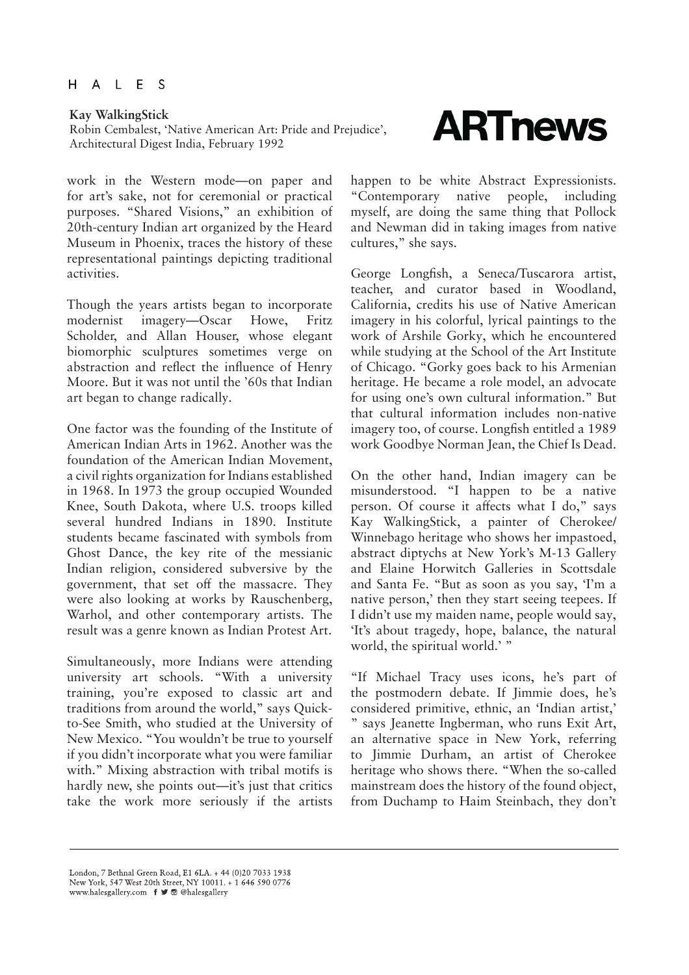Robin Cembalest, 'Native American Art: Pride and Prejudice', Architectural Digest India, February 1992

work in the Western mode—on paper and for art's sake, not for ceremonial or practical purposes. "Shared Visions," an exhibition of 20th-century Indian art organized by the Heard Museum in Phoenix, traces the history of these representational paintings depicting traditional activities.

Though the years artists began to incorporate modernist imagery—Oscar Howe, Fritz Scholder, and Allan Houser, whose elegant biomorphic sculptures sometimes verge on abstraction and reflect the influence of Henry Moore. But it was not until the '60s that Indian art began to change radically.

One factor was the founding of the Institute of American Indian Arts in 1962. Another was the foundation of the American Indian Movement, a civil rights organization for Indians established in 1968. In 1973 the group occupied Wounded Knee, South Dakota, where U.S. troops killed several hundred Indians in 1890. Institute students became fascinated with symbols from Ghost Dance, the key rite of the messianic Indian religion, considered subversive by the government, that set off the massacre. They were also looking at works by Rauschenberg, Warhol, and other contemporary artists. The result was a genre known as Indian Protest Art.

Simultaneously, more Indians were attending university art schools. "With a university training, you're exposed to classic art and traditions from around the world," says Quickto-See Smith, who studied at the University of New Mexico. "You wouldn't be true to yourself if you didn't incorporate what you were familiar with." Mixing abstraction with tribal motifs is hardly new, she points out—it's just that critics take the work more seriously if the artists

Kay WalkingStick<br>Robin Cembalest, 'Native American Art: Pride and Prejudice', **ARTINEWS** 

happen to be white Abstract Expressionists. "Contemporary native people, including myself, are doing the same thing that Pollock and Newman did in taking images from native cultures," she says.

George Longfish, a Seneca/Tuscarora artist, teacher, and curator based in Woodland, California, credits his use of Native American imagery in his colorful, lyrical paintings to the work of Arshile Gorky, which he encountered while studying at the School of the Art Institute of Chicago. "Gorky goes back to his Armenian heritage. He became a role model, an advocate for using one's own cultural information." But that cultural information includes non-native imagery too, of course. Longfish entitled a 1989 work Goodbye Norman Jean, the Chief Is Dead.

On the other hand, Indian imagery can be misunderstood. "I happen to be a native person. Of course it affects what I do," says Kay WalkingStick, a painter of Cherokee/ Winnebago heritage who shows her impastoed, abstract diptychs at New York's M-13 Gallery and Elaine Horwitch Galleries in Scottsdale and Santa Fe. "But as soon as you say, 'I'm a native person,' then they start seeing teepees. If I didn't use my maiden name, people would say, 'It's about tragedy, hope, balance, the natural world, the spiritual world.' "

"If Michael Tracy uses icons, he's part of the postmodern debate. If Jimmie does, he's considered primitive, ethnic, an 'Indian artist,' says Jeanette Ingberman, who runs Exit Art, an alternative space in New York, referring to Jimmie Durham, an artist of Cherokee heritage who shows there. "When the so-called mainstream does the history of the found object, from Duchamp to Haim Steinbach, they don't

London, 7 Bethnal Green Road, E1 6LA, + 44 (0)20 7033 1938 London, 7 bettinar Green Koad, £1 b.EA. + 44 (0/20 7033 1238)<br>New York, 547 West 20th Street, NY 10011. + 1 646 590 0776<br>www.halesgallery.com **f ■** ■ @halesgallery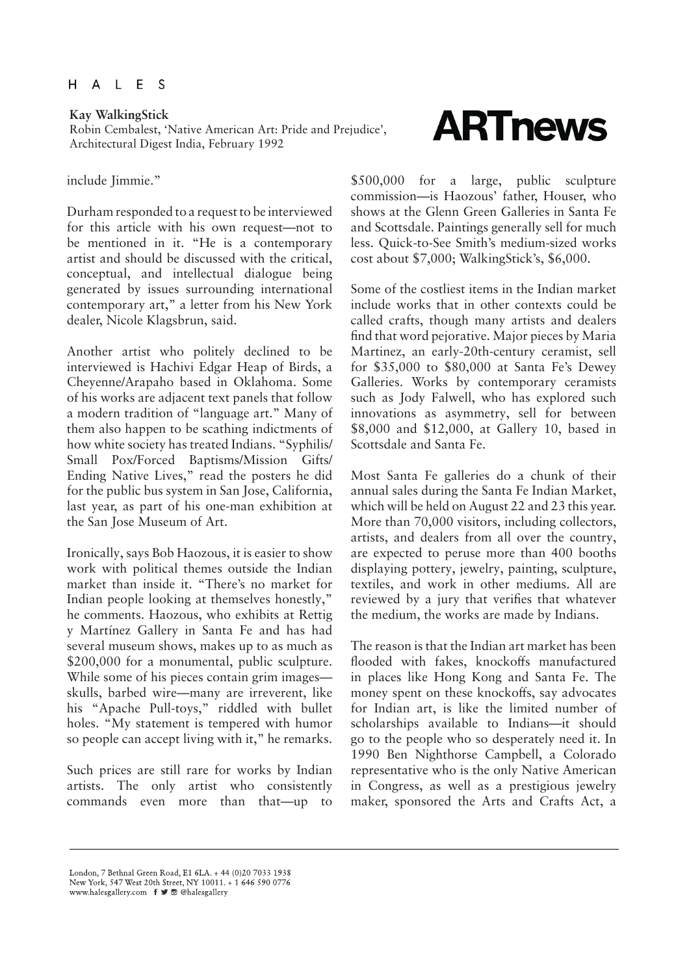### ALES H.

Robin Cembalest, 'Native American Art: Pride and Prejudice', Architectural Digest India, February 1992

### include Jimmie."

Durham responded to a request to be interviewed for this article with his own request—not to be mentioned in it. "He is a contemporary artist and should be discussed with the critical, conceptual, and intellectual dialogue being generated by issues surrounding international contemporary art," a letter from his New York dealer, Nicole Klagsbrun, said.

Another artist who politely declined to be interviewed is Hachivi Edgar Heap of Birds, a Cheyenne/Arapaho based in Oklahoma. Some of his works are adjacent text panels that follow a modern tradition of "language art." Many of them also happen to be scathing indictments of how white society has treated Indians. "Syphilis/ Small Pox/Forced Baptisms/Mission Gifts/ Ending Native Lives," read the posters he did for the public bus system in San Jose, California, last year, as part of his one-man exhibition at the San Jose Museum of Art.

Ironically, says Bob Haozous, it is easier to show work with political themes outside the Indian market than inside it. "There's no market for Indian people looking at themselves honestly," he comments. Haozous, who exhibits at Rettig y Martínez Gallery in Santa Fe and has had several museum shows, makes up to as much as \$200,000 for a monumental, public sculpture. While some of his pieces contain grim images skulls, barbed wire—many are irreverent, like his "Apache Pull-toys," riddled with bullet holes. "My statement is tempered with humor so people can accept living with it," he remarks.

Such prices are still rare for works by Indian artists. The only artist who consistently commands even more than that—up to

\$500,000 for a large, public sculpture commission—is Haozous' father, Houser, who shows at the Glenn Green Galleries in Santa Fe and Scottsdale. Paintings generally sell for much less. Quick-to-See Smith's medium-sized works cost about \$7,000; WalkingStick's, \$6,000.

Some of the costliest items in the Indian market include works that in other contexts could be called crafts, though many artists and dealers find that word pejorative. Major pieces by Maria Martinez, an early-20th-century ceramist, sell for \$35,000 to \$80,000 at Santa Fe's Dewey Galleries. Works by contemporary ceramists such as Jody Falwell, who has explored such innovations as asymmetry, sell for between \$8,000 and \$12,000, at Gallery 10, based in Scottsdale and Santa Fe.

Most Santa Fe galleries do a chunk of their annual sales during the Santa Fe Indian Market, which will be held on August 22 and 23 this year. More than 70,000 visitors, including collectors, artists, and dealers from all over the country, are expected to peruse more than 400 booths displaying pottery, jewelry, painting, sculpture, textiles, and work in other mediums. All are reviewed by a jury that verifies that whatever the medium, the works are made by Indians.

The reason is that the Indian art market has been flooded with fakes, knockoffs manufactured in places like Hong Kong and Santa Fe. The money spent on these knockoffs, say advocates for Indian art, is like the limited number of scholarships available to Indians—it should go to the people who so desperately need it. In 1990 Ben Nighthorse Campbell, a Colorado representative who is the only Native American in Congress, as well as a prestigious jewelry maker, sponsored the Arts and Crafts Act, a

London, 7 Bethnal Green Road, E1 6LA. + 44 (0)20 7033 1938 London, 7 bettinar Green Koad, £1 b.EA. + 44 (0/20 7033 1238)<br>New York, 547 West 20th Street, NY 10011. + 1 646 590 0776<br>www.halesgallery.com **f ■** ■ @halesgallery

# Kay WalkingStick<br>Robin Cembalest, 'Native American Art: Pride and Prejudice', **ARTINEWS**